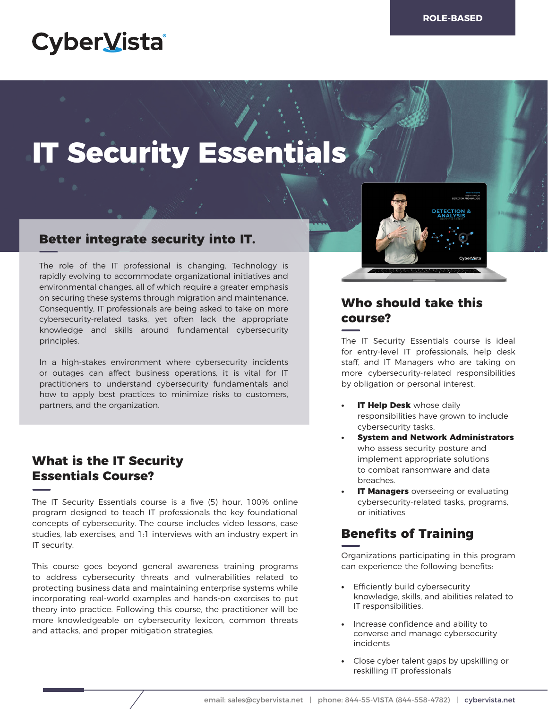# **CyberVista**

# **IT Security Essentials**

## **Better integrate security into IT.**

The role of the IT professional is changing. Technology is rapidly evolving to accommodate organizational initiatives and environmental changes, all of which require a greater emphasis on securing these systems through migration and maintenance. Consequently, IT professionals are being asked to take on more cybersecurity-related tasks, yet often lack the appropriate knowledge and skills around fundamental cybersecurity principles.

In a high-stakes environment where cybersecurity incidents or outages can affect business operations, it is vital for IT practitioners to understand cybersecurity fundamentals and how to apply best practices to minimize risks to customers, partners, and the organization.

# **What is the IT Security Essentials Course?**

The IT Security Essentials course is a five (5) hour, 100% online program designed to teach IT professionals the key foundational concepts of cybersecurity. The course includes video lessons, case studies, lab exercises, and 1:1 interviews with an industry expert in IT security.

This course goes beyond general awareness training programs to address cybersecurity threats and vulnerabilities related to protecting business data and maintaining enterprise systems while incorporating real-world examples and hands-on exercises to put theory into practice. Following this course, the practitioner will be more knowledgeable on cybersecurity lexicon, common threats and attacks, and proper mitigation strategies.



# **Who should take this course?**

The IT Security Essentials course is ideal for entry-level IT professionals, help desk staff, and IT Managers who are taking on more cybersecurity-related responsibilities by obligation or personal interest.

- **IT Help Desk** whose daily responsibilities have grown to include cybersecurity tasks.
- **• System and Network Administrators** who assess security posture and implement appropriate solutions to combat ransomware and data breaches.
- **IT Managers** overseeing or evaluating cybersecurity-related tasks, programs, or initiatives

# **Benefits of Training**

Organizations participating in this program can experience the following benefits:

- **•** Efficiently build cybersecurity knowledge, skills, and abilities related to IT responsibilities.
- **•** Increase confidence and ability to converse and manage cybersecurity incidents
- **•** Close cyber talent gaps by upskilling or reskilling IT professionals